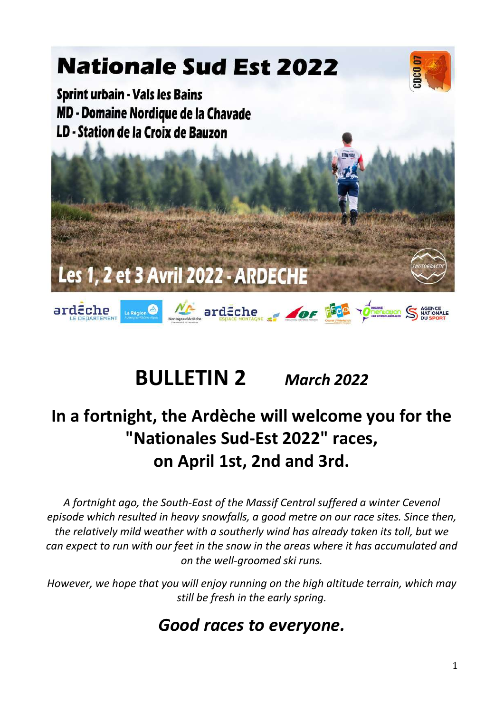

### BULLETIN 2 March 2022

### In a fortnight, the Ardèche will welcome you for the "Nationales Sud-Est 2022" races, on April 1st, 2nd and 3rd.

A fortnight ago, the South-East of the Massif Central suffered a winter Cevenol episode which resulted in heavy snowfalls, a good metre on our race sites. Since then, the relatively mild weather with a southerly wind has already taken its toll, but we can expect to run with our feet in the snow in the areas where it has accumulated and on the well-groomed ski runs.

However, we hope that you will enjoy running on the high altitude terrain, which may still be fresh in the early spring.

### Good races to everyone.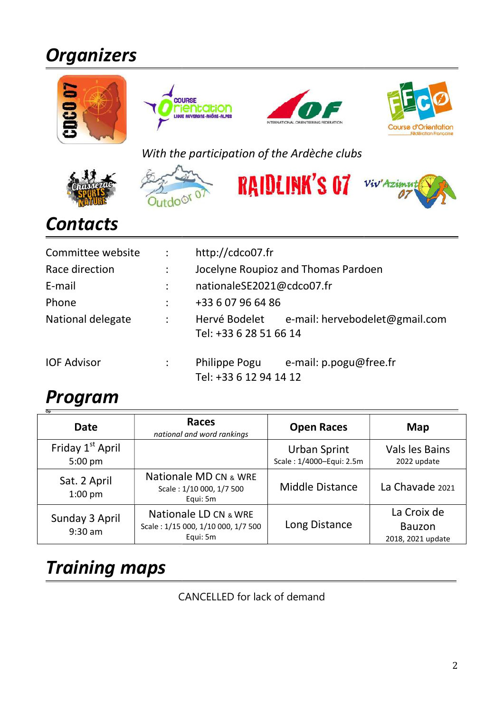# **Organizers**









### With the participation of the Ardèche clubs









### **Contacts**

| Committee website  | $\sim 10^{-1}$            | http://cdco07.fr                        |                                              |  |  |  |  |
|--------------------|---------------------------|-----------------------------------------|----------------------------------------------|--|--|--|--|
| Race direction     | $\mathbb{R}^{\mathbb{Z}}$ |                                         | Jocelyne Roupioz and Thomas Pardoen          |  |  |  |  |
| E-mail             | $\ddot{\phantom{a}}$      |                                         | nationaleSE2021@cdco07.fr                    |  |  |  |  |
| Phone              | ÷                         | +33 6 07 96 64 86                       |                                              |  |  |  |  |
| National delegate  | $\mathbb{R}^n$            | Tel: +33 6 28 51 66 14                  | Hervé Bodelet e-mail: hervebodelet@gmail.com |  |  |  |  |
| <b>IOF Advisor</b> |                           | Philippe Pogu<br>Tel: +33 6 12 94 14 12 | e-mail: p.pogu@free.fr                       |  |  |  |  |

### Program

| $\overline{op}$<br><b>Date</b>            | <b>Races</b><br>national and word rankings                              | <b>Open Races</b>                               | Map                                               |
|-------------------------------------------|-------------------------------------------------------------------------|-------------------------------------------------|---------------------------------------------------|
| Friday 1 <sup>st</sup> April<br>$5:00$ pm |                                                                         | <b>Urban Sprint</b><br>Scale: 1/4000-Equi: 2.5m | Vals les Bains<br>2022 update                     |
| Sat. 2 April<br>$1:00$ pm                 | Nationale MD CN & WRE<br>Scale: 1/10 000, 1/7 500<br>Equi: 5m           | <b>Middle Distance</b>                          | La Chavade 2021                                   |
| Sunday 3 April<br>$9:30$ am               | Nationale LD CN & WRE<br>Scale: 1/15 000, 1/10 000, 1/7 500<br>Equi: 5m | Long Distance                                   | La Croix de<br><b>Bauzon</b><br>2018, 2021 update |

## Training maps

CANCELLED for lack of demand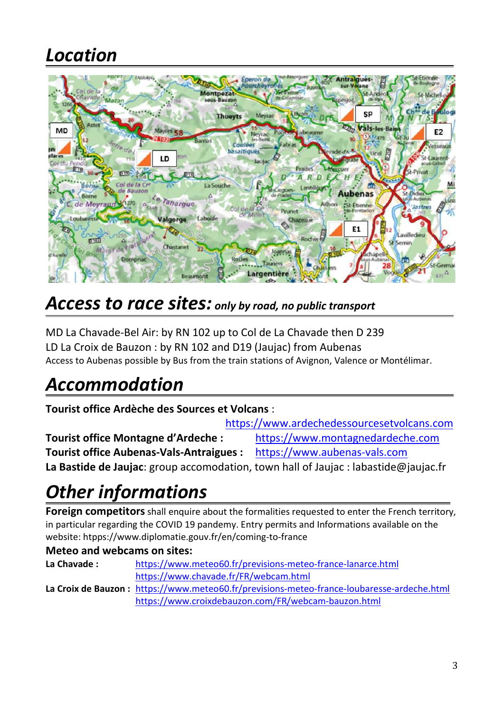### Location



### Access to race sites: only by road, no public transport

MD La Chavade-Bel Air: by RN 102 up to Col de La Chavade then D 239 LD La Croix de Bauzon : by RN 102 and D19 (Jaujac) from Aubenas Access to Aubenas possible by Bus from the train stations of Avignon, Valence or Montélimar.

### Accommodation

Tourist office Ardèche des Sources et Volcans :

https://www.ardechedessourcesetvolcans.com Tourist office Montagne d'Ardeche : https://www.montagnedardeche.com Tourist office Aubenas-Vals-Antraigues : https://www.aubenas-vals.com La Bastide de Jaujac: group accomodation, town hall of Jaujac : labastide@jaujac.fr

### Other informations

Foreign competitors shall enquire about the formalities requested to enter the French territory, in particular regarding the COVID 19 pandemy. Entry permits and Informations available on the website: htpps://www.diplomatie.gouv.fr/en/coming-to-france

#### Meteo and webcams on sites:

| La Chavade : | https://www.meteo60.fr/previsions-meteo-france-lanarce.html                                |
|--------------|--------------------------------------------------------------------------------------------|
|              | https://www.chavade.fr/FR/webcam.html                                                      |
|              | La Croix de Bauzon: https://www.meteo60.fr/previsions-meteo-france-loubaresse-ardeche.html |
|              | https://www.croixdebauzon.com/FR/webcam-bauzon.html                                        |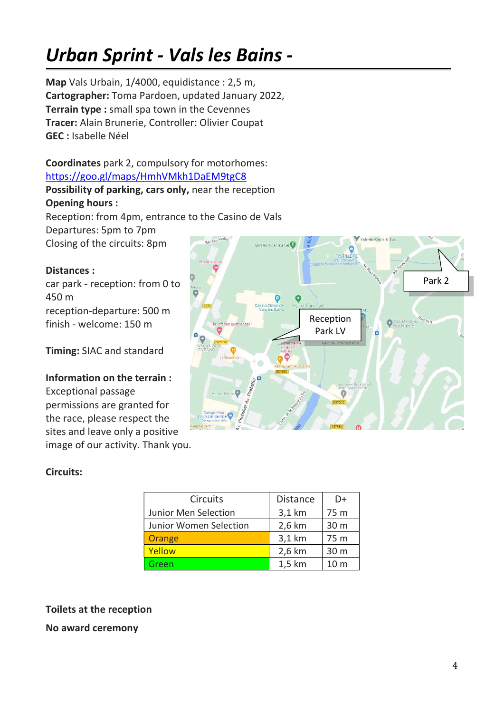## Urban Sprint - Vals les Bains -

Map Vals Urbain, 1/4000, equidistance : 2,5 m, Cartographer: Toma Pardoen, updated January 2022, Terrain type : small spa town in the Cevennes Tracer: Alain Brunerie, Controller: Olivier Coupat GEC : Isabelle Néel

#### Coordinates park 2, compulsory for motorhomes: https://goo.gl/maps/HmhVMkh1DaEM9tgC8

Possibility of parking, cars only, near the reception Opening hours :

Reception: from 4pm, entrance to the Casino de Vals Departures: 5pm to 7pm Closing of the circuits: 8pm

#### Distances :

car park - reception: from 0 to 450 m reception-departure: 500 m finish - welcome: 150 m

Timing: SIAC and standard

#### Information on the terrain :

Exceptional passage permissions are granted for the race, please respect the sites and leave only a positive image of our activity. Thank you.

#### Circuits:

| <b>Circuits</b>               | <b>Distance</b> | D+              |
|-------------------------------|-----------------|-----------------|
| <b>Junior Men Selection</b>   | $3,1$ km        | 75 m            |
| <b>Junior Women Selection</b> | 2,6 km          | 30 m            |
| Orange                        | 3,1 km          | 75 m            |
| Yellow                        | 2,6 km          | 30 m            |
| Green                         | 1,5 km          | 10 <sub>m</sub> |

#### Toilets at the reception

No award ceremony

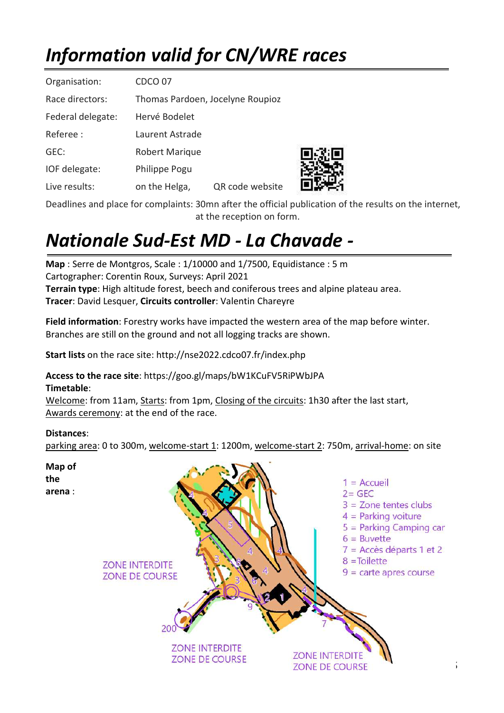# Information valid for CN/WRE races

| Organisation:     | CDCO 07                          |                 |  |  |  |
|-------------------|----------------------------------|-----------------|--|--|--|
| Race directors:   | Thomas Pardoen, Jocelyne Roupioz |                 |  |  |  |
| Federal delegate: | Hervé Bodelet                    |                 |  |  |  |
| Referee :         | Laurent Astrade                  |                 |  |  |  |
| GEC:              | Robert Marique                   |                 |  |  |  |
| IOF delegate:     | Philippe Pogu                    |                 |  |  |  |
| Live results:     | on the Helga,                    | QR code website |  |  |  |

Deadlines and place for complaints: 30mn after the official publication of the results on the internet, at the reception on form.

## Nationale Sud-Est MD - La Chavade -

Map : Serre de Montgros, Scale : 1/10000 and 1/7500, Equidistance : 5 m Cartographer: Corentin Roux, Surveys: April 2021 Terrain type: High altitude forest, beech and coniferous trees and alpine plateau area. Tracer: David Lesquer, Circuits controller: Valentin Chareyre

Field information: Forestry works have impacted the western area of the map before winter. Branches are still on the ground and not all logging tracks are shown.

Start lists on the race site: http://nse2022.cdco07.fr/index.php

Access to the race site: https://goo.gl/maps/bW1KCuFV5RiPWbJPA Timetable:

Welcome: from 11am, Starts: from 1pm, Closing of the circuits: 1h30 after the last start, Awards ceremony: at the end of the race.

#### Distances:

parking area: 0 to 300m, welcome-start 1: 1200m, welcome-start 2: 750m, arrival-home: on site

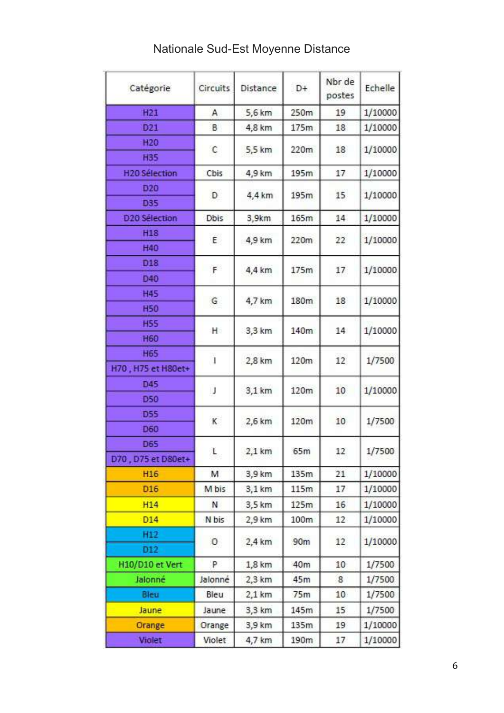| Catégorie                 | Circuits      | Distance | $D+$ | Nbr de<br>postes | Echelle |  |
|---------------------------|---------------|----------|------|------------------|---------|--|
| H21                       | Α             | 5,6 km   | 250m | 19               | 1/10000 |  |
| D21                       | B             | 4,8 km   | 175m | 18               | 1/10000 |  |
| H <sub>20</sub>           |               | 5,5 km   |      |                  |         |  |
| <b>H35</b>                | C             |          | 220m | 18               | 1/10000 |  |
| <b>H20 Sélection</b>      | Cbis          | 4,9 km   | 195m | 17               | 1/10000 |  |
| D <sub>20</sub>           |               | 4,4 km   | 195m | 15               | 1/10000 |  |
| D35                       | D             |          |      |                  |         |  |
| D <sub>20</sub> Sélection | Dbis          | 3,9km    | 165m | 14               | 1/10000 |  |
| H <sub>18</sub>           | E.            | 4,9 km   | 220m | 22               |         |  |
| H40                       |               |          |      |                  | 1/10000 |  |
| D <sub>18</sub>           | F             | 4,4 km   | 175m |                  |         |  |
| D40                       |               |          |      | 17               | 1/10000 |  |
| <b>H45</b>                |               |          |      |                  |         |  |
| <b>H50</b>                | G             | 4,7 km   | 180m | 18               | 1/10000 |  |
| <b>H55</b>                | н.            |          | 140m | 14               | 1/10000 |  |
| <b>H60</b>                |               | 3,3 km   |      |                  |         |  |
| <b>H65</b>                | $\frac{1}{2}$ |          | 120m | 12               | 1/7500  |  |
| H70, H75 et H80et+        |               | 2,8 km   |      |                  |         |  |
| D45                       |               | 3,1 km   | 120m | 10               | 1/10000 |  |
| <b>D50</b>                | J             |          |      |                  |         |  |
| <b>D55</b>                |               | 2,6 km   | 120m | 10               |         |  |
| D60                       | κ             |          |      |                  | 1/7500  |  |
| D65                       |               |          |      |                  |         |  |
| D70, D75 et D80et+        | L             | 2,1 km   | 65m  | 12               | 1/7500  |  |
| H <sub>16</sub>           | М             | 3,9 km   | 135m | 21               | 1/10000 |  |
| D <sub>16</sub>           | M bis         | 3,1 km   | 115m | 17               | 1/10000 |  |
| H14                       | и             | 3,5 km   | 125m | 16               | 1/10000 |  |
| D14                       | N bis         | 2,9 km   | 100m | 12               | 1/10000 |  |
| H12                       |               |          |      |                  |         |  |
| D12                       | 0             | 2,4 km   | 90m  | 12               | 1/10000 |  |
| H10/D10 et Vert           | P.            | 1,8 km   | 40m  | 10               | 1/7500  |  |
| Jalonné                   | Jalonné       | 2,3 km   | 45m  | 8                | 1/7500  |  |
| Bleu                      | Bleu          | 2,1 km   | 75m  | 10 <sub>1</sub>  | 1/7500  |  |
| Jaune                     | Jaune         | 3,3 km   | 145m | 15               | 1/7500  |  |
| Orange                    | Orange        | 3,9 km   | 135m | 19               | 1/10000 |  |
| Violet                    | Violet        | 4,7 km   | 190m | 17               | 1/10000 |  |

### Nationale Sud-Est Moyenne Distance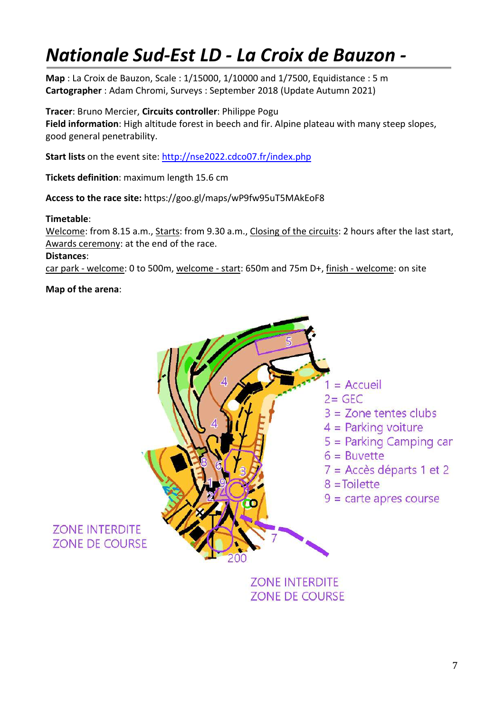### Nationale Sud-Est LD - La Croix de Bauzon -

Map : La Croix de Bauzon, Scale : 1/15000, 1/10000 and 1/7500, Equidistance : 5 m Cartographer : Adam Chromi, Surveys : September 2018 (Update Autumn 2021)

Tracer: Bruno Mercier, Circuits controller: Philippe Pogu Field information: High altitude forest in beech and fir. Alpine plateau with many steep slopes, good general penetrability.

Start lists on the event site: http://nse2022.cdco07.fr/index.php

Tickets definition: maximum length 15.6 cm

Access to the race site: https://goo.gl/maps/wP9fw95uT5MAkEoF8

#### Timetable:

Welcome: from 8.15 a.m., Starts: from 9.30 a.m., Closing of the circuits: 2 hours after the last start, Awards ceremony: at the end of the race.

#### Distances:

car park - welcome: 0 to 500m, welcome - start: 650m and 75m D+, finish - welcome: on site

#### Map of the arena:



**ZONE INTERDITE ZONE DE COURSE**